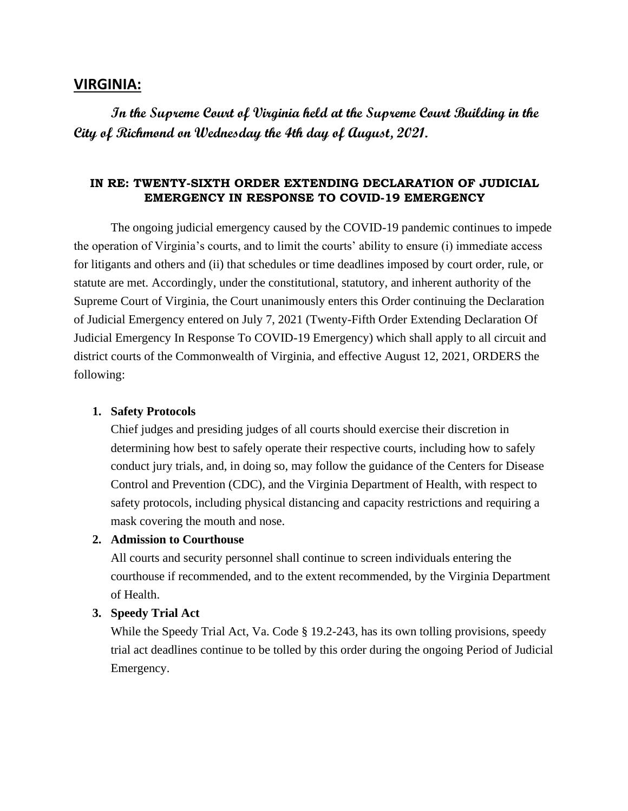# **VIRGINIA:**

**In the Supreme Court of Virginia held at the Supreme Court Building in the City of Richmond on Wednesday the 4th day of August, 2021.** 

## **IN RE: TWENTY-SIXTH ORDER EXTENDING DECLARATION OF JUDICIAL EMERGENCY IN RESPONSE TO COVID-19 EMERGENCY**

The ongoing judicial emergency caused by the COVID-19 pandemic continues to impede the operation of Virginia's courts, and to limit the courts' ability to ensure (i) immediate access for litigants and others and (ii) that schedules or time deadlines imposed by court order, rule, or statute are met. Accordingly, under the constitutional, statutory, and inherent authority of the Supreme Court of Virginia, the Court unanimously enters this Order continuing the Declaration of Judicial Emergency entered on July 7, 2021 (Twenty-Fifth Order Extending Declaration Of Judicial Emergency In Response To COVID-19 Emergency) which shall apply to all circuit and district courts of the Commonwealth of Virginia, and effective August 12, 2021, ORDERS the following:

#### **1. Safety Protocols**

Chief judges and presiding judges of all courts should exercise their discretion in determining how best to safely operate their respective courts, including how to safely conduct jury trials, and, in doing so, may follow the guidance of the Centers for Disease Control and Prevention (CDC), and the Virginia Department of Health, with respect to safety protocols, including physical distancing and capacity restrictions and requiring a mask covering the mouth and nose.

### **2. Admission to Courthouse**

All courts and security personnel shall continue to screen individuals entering the courthouse if recommended, and to the extent recommended, by the Virginia Department of Health.

### **3. Speedy Trial Act**

While the Speedy Trial Act, Va. Code § 19.2-243, has its own tolling provisions, speedy trial act deadlines continue to be tolled by this order during the ongoing Period of Judicial Emergency.